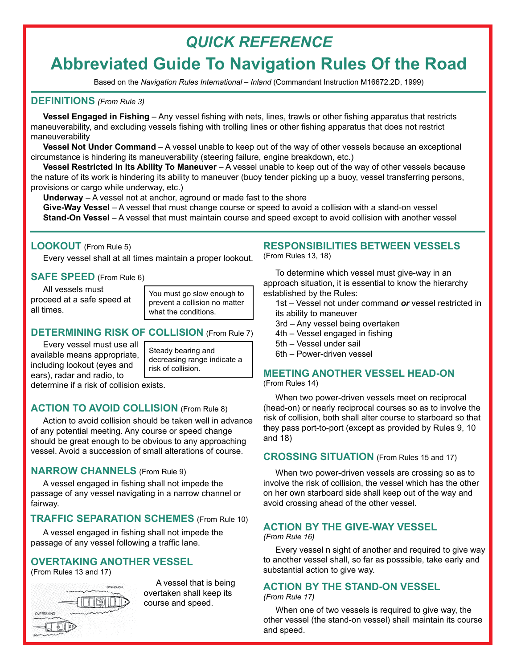## *QUICK REFERENCE*

# **Abbreviated Guide To Navigation Rules Of the Road**

Based on the *Navigation Rules International – Inland* (Commandant Instruction M16672.2D, 1999)

#### **DEFINITIONS** *(From Rule 3)*

**Vessel Engaged in Fishing** – Any vessel fishing with nets, lines, trawls or other fishing apparatus that restricts maneuverability, and excluding vessels fishing with trolling lines or other fishing apparatus that does not restrict maneuverability

**Vessel Not Under Command** – A vessel unable to keep out of the way of other vessels because an exceptional circumstance is hindering its maneuverability (steering failure, engine breakdown, etc.)

**Vessel Restricted In Its Ability To Maneuver** – A vessel unable to keep out of the way of other vessels because the nature of its work is hindering its ability to maneuver (buoy tender picking up a buoy, vessel transferring persons, provisions or cargo while underway, etc.)

**Underway** – A vessel not at anchor, aground or made fast to the shore

**Give-Way Vessel** – A vessel that must change course or speed to avoid a collision with a stand-on vessel **Stand-On Vessel** – A vessel that must maintain course and speed except to avoid collision with another vessel

Every vessel shall at all times maintain a proper lookout. (From Rules 13, 18)

You must go slow enough to prevent a collision no matter what the conditions.

### **DETERMINING RISK OF COLLISION** (From Rule 7)

Every vessel must use all available means appropriate, including lookout (eyes and ears), radar and radio, to

Steady bearing and decreasing range indicate a risk of collision.

determine if a risk of collision exists.

### **ACTION TO AVOID COLLISION** (From Rule 8)

Action to avoid collision should be taken well in advance of any potential meeting. Any course or speed change should be great enough to be obvious to any approaching vessel. Avoid a succession of small alterations of course.

#### **NARROW CHANNELS** (From Rule 9)

A vessel engaged in fishing shall not impede the passage of any vessel navigating in a narrow channel or fairway.

### **TRAFFIC SEPARATION SCHEMES** (From Rule 10)

A vessel engaged in fishing shall not impede the passage of any vessel following a traffic lane.

#### **OVERTAKING ANOTHER VESSEL**

(From Rules 13 and 17)



A vessel that is being overtaken shall keep its course and speed.

### **LOOKOUT** (From Rule 5) **RESPONSIBILITIES BETWEEN VESSELS**

To determine which vessel must give-way in an **SAFE SPEED** (From Rule 6) All vessels must<br>proceed at a safe speed at a safe speed at prevent a collision no matter<br>all times.<br>the conditions is a structure in the conditions is a structure of the Rules:<br>the conditions is a structure of the conditi

its ability to maneuver

3rd – Any vessel being overtaken

- 4th Vessel engaged in fishing
- 5th Vessel under sail
- 6th Power-driven vessel

### **MEETING ANOTHER VESSEL HEAD-ON**

(From Rules 14)

When two power-driven vessels meet on reciprocal (head-on) or nearly reciprocal courses so as to involve the risk of collision, both shall alter course to starboard so that they pass port-to-port (except as provided by Rules 9, 10 and 18)

#### **CROSSING SITUATION** (From Rules 15 and 17)

When two power-driven vessels are crossing so as to involve the risk of collision, the vessel which has the other on her own starboard side shall keep out of the way and avoid crossing ahead of the other vessel.

### **ACTION BY THE GIVE-WAY VESSEL**

*(From Rule 16)* 

Every vessel n sight of another and required to give way to another vessel shall, so far as posssible, take early and substantial action to give way.

### **ACTION BY THE STAND-ON VESSEL**

*(From Rule 17)* 

When one of two vessels is required to give way, the other vessel (the stand-on vessel) shall maintain its course and speed.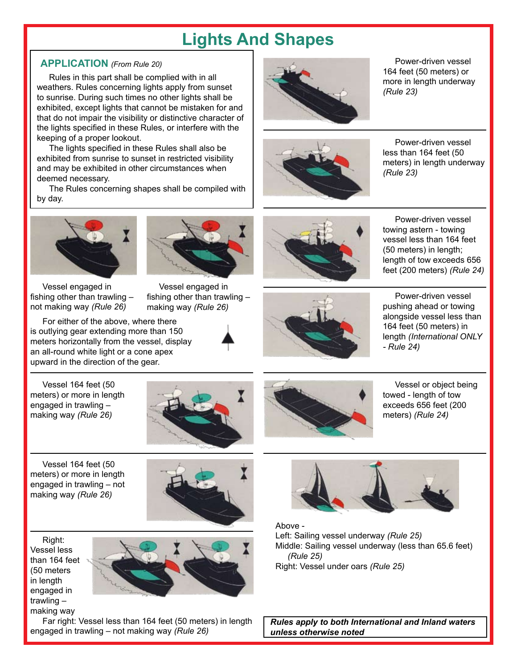# **Lights And Shapes**

### **APPLICATION** *(From Rule 20)*

Rules in this part shall be complied with in all weathers. Rules concerning lights apply from sunset to sunrise. During such times no other lights shall be exhibited, except lights that cannot be mistaken for and that do not impair the visibility or distinctive character of the lights specified in these Rules, or interfere with the keeping of a proper lookout.

The lights specified in these Rules shall also be exhibited from sunrise to sunset in restricted visibility and may be exhibited in other circumstances when deemed necessary.

The Rules concerning shapes shall be compiled with by day.



Power-driven vessel 164 feet (50 meters) or more in length underway *(Rule 23)* 



Power-driven vessel less than 164 feet (50 meters) in length underway *(Rule 23)* 





Vessel engaged in fishing other than trawling – not making way *(Rule 26)* 

For either of the above, where there is outlying gear extending more than 150 meters horizontally from the vessel, display an all-round white light or a cone apex upward in the direction of the gear.



Vessel engaged in fishing other than trawling – making way *(Rule 26)* 





Power-driven vessel towing astern - towing vessel less than 164 feet (50 meters) in length; length of tow exceeds 656 feet (200 meters) *(Rule 24)* 



Power-driven vessel pushing ahead or towing alongside vessel less than 164 feet (50 meters) in length *(International ONLY - Rule 24)* 

Vessel 164 feet (50 meters) or more in length engaged in trawling – making way *(Rule 26)* 





Vessel or object being towed - length of tow exceeds 656 feet (200 meters) *(Rule 24)* 

Vessel 164 feet (50 meters) or more in length engaged in trawling – not making way *(Rule 26)* 



Right: Vessel less than 164 feet (50 meters in length engaged in trawling – making way



Far right: Vessel less than 164 feet (50 meters) in length engaged in trawling – not making way *(Rule 26)* 



Above - Left: Sailing vessel underway *(Rule 25)*  Middle: Sailing vessel underway (less than 65.6 feet) *(Rule 25)*  Right: Vessel under oars *(Rule 25)* 

*Rules apply to both International and Inland waters unless otherwise noted*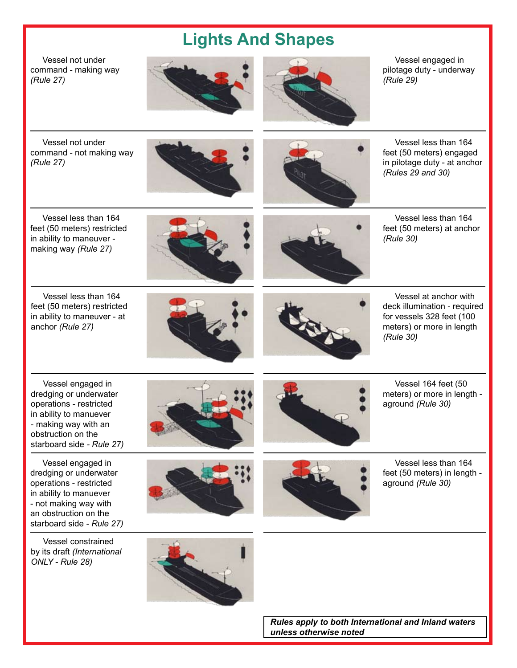# **Lights And Shapes**









*(Rules 29 and 30)* 

making way *(Rule 27)* 







*(Rule 30)* 

Vessel engaged in dredging or underwater operations - restricted in ability to manuever - making way with an obstruction on the starboard side *- Rule 27)* 

Vessel engaged in dredging or underwater operations - restricted in ability to manuever - not making way with an obstruction on the starboard side *- Rule 27)* 

Vessel constrained by its draft *(International ONLY - Rule 28)* 





Vessel 164 feet (50 meters) or more in length aground *(Rule 30)* 





Vessel less than 164 feet (50 meters) in length aground *(Rule 30)*